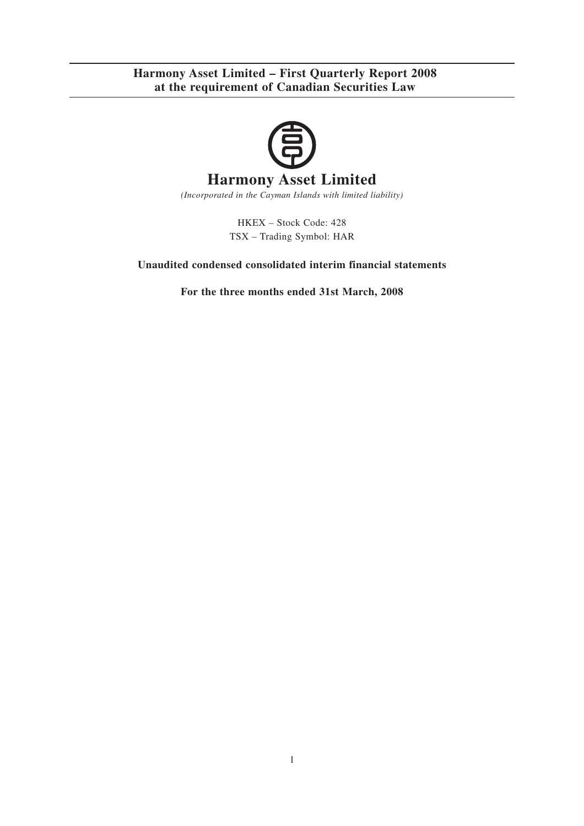

*(Incorporated in the Cayman Islands with limited liability)*

HKEX – Stock Code: 428 TSX – Trading Symbol: HAR

### **Unaudited condensed consolidated interim financial statements**

**For the three months ended 31st March, 2008**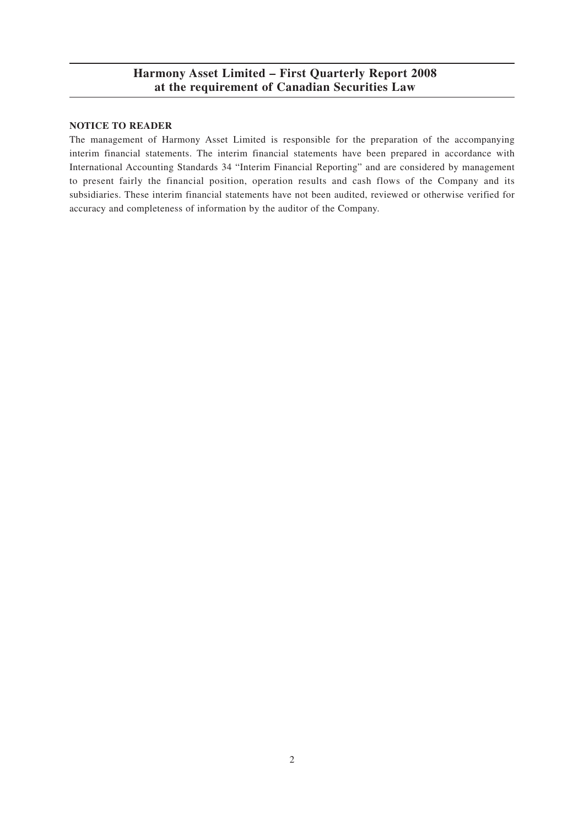#### **NOTICE TO READER**

The management of Harmony Asset Limited is responsible for the preparation of the accompanying interim financial statements. The interim financial statements have been prepared in accordance with International Accounting Standards 34 "Interim Financial Reporting" and are considered by management to present fairly the financial position, operation results and cash flows of the Company and its subsidiaries. These interim financial statements have not been audited, reviewed or otherwise verified for accuracy and completeness of information by the auditor of the Company.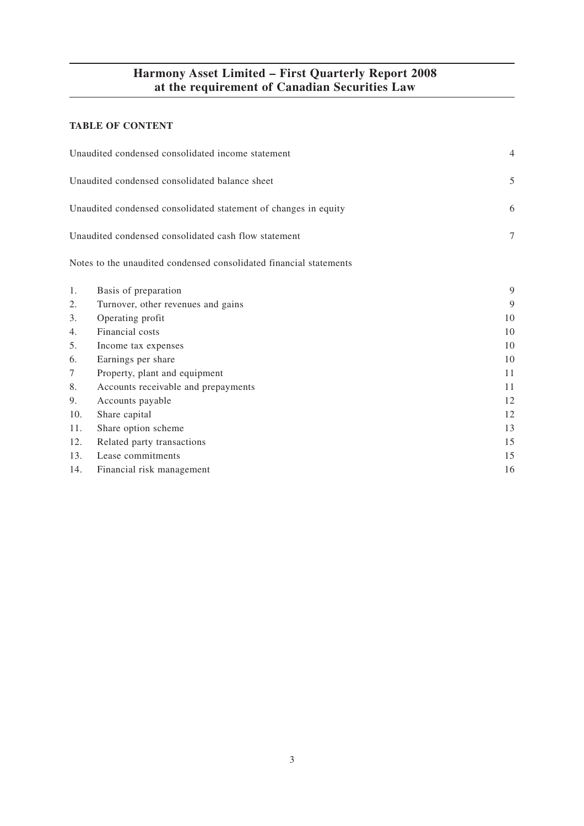### **TABLE OF CONTENT**

|        | Unaudited condensed consolidated income statement                  | $\overline{4}$ |
|--------|--------------------------------------------------------------------|----------------|
|        | Unaudited condensed consolidated balance sheet                     | 5              |
|        | Unaudited condensed consolidated statement of changes in equity    | 6              |
|        | Unaudited condensed consolidated cash flow statement               | $\overline{7}$ |
|        | Notes to the unaudited condensed consolidated financial statements |                |
| 1.     | Basis of preparation                                               | 9              |
| 2.     | Turnover, other revenues and gains                                 | 9              |
| 3.     | Operating profit                                                   | 10             |
| 4.     | Financial costs                                                    | 10             |
| 5.     | Income tax expenses                                                | 10             |
| 6.     | Earnings per share                                                 | 10             |
| $\tau$ | Property, plant and equipment                                      | 11             |
| 8.     | Accounts receivable and prepayments                                | 11             |
| 9.     | Accounts payable                                                   | 12             |
| 10.    | Share capital                                                      | 12             |
| 11.    | Share option scheme                                                | 13             |
| 12.    | Related party transactions                                         | 15             |
| 13.    | Lease commitments                                                  | 15             |
| 14.    | Financial risk management                                          | 16             |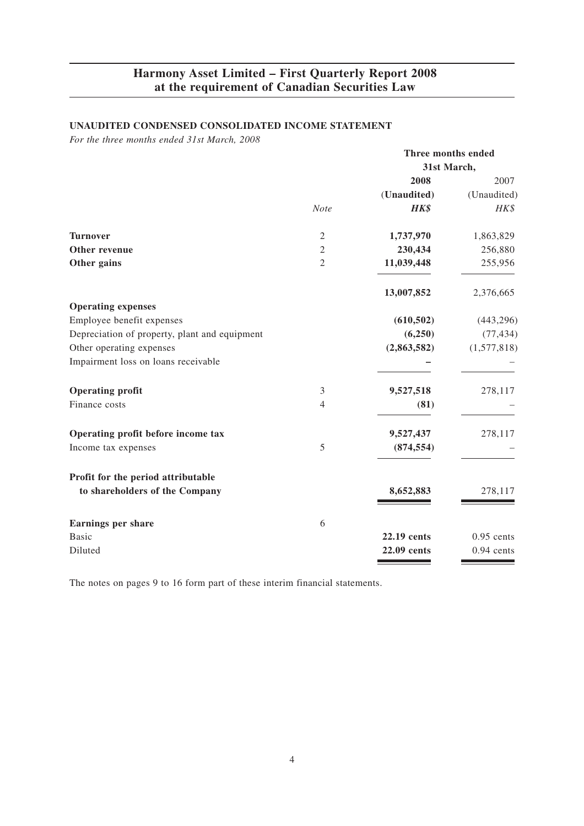### **UNAUDITED CONDENSED CONSOLIDATED INCOME STATEMENT**

*For the three months ended 31st March, 2008*

|                                               |                | Three months ended |              |
|-----------------------------------------------|----------------|--------------------|--------------|
|                                               |                | 31st March,        |              |
|                                               |                | 2008               | 2007         |
|                                               |                | (Unaudited)        | (Unaudited)  |
|                                               | <b>Note</b>    | HK\$               | HK\$         |
| <b>Turnover</b>                               | $\mathfrak{2}$ | 1,737,970          | 1,863,829    |
| Other revenue                                 | $\overline{c}$ | 230,434            | 256,880      |
| Other gains                                   | $\overline{2}$ | 11,039,448         | 255,956      |
|                                               |                | 13,007,852         | 2,376,665    |
| <b>Operating expenses</b>                     |                |                    |              |
| Employee benefit expenses                     |                | (610, 502)         | (443, 296)   |
| Depreciation of property, plant and equipment |                | (6,250)            | (77, 434)    |
| Other operating expenses                      |                | (2,863,582)        | (1,577,818)  |
| Impairment loss on loans receivable           |                |                    |              |
| <b>Operating profit</b>                       | 3              | 9,527,518          | 278,117      |
| Finance costs                                 | 4              | (81)               |              |
| Operating profit before income tax            |                | 9,527,437          | 278,117      |
| Income tax expenses                           | 5              | (874, 554)         |              |
| Profit for the period attributable            |                |                    |              |
| to shareholders of the Company                |                | 8,652,883          | 278,117      |
| <b>Earnings per share</b>                     | 6              |                    |              |
| <b>Basic</b>                                  |                | 22.19 cents        | $0.95$ cents |
| Diluted                                       |                | 22.09 cents        | $0.94$ cents |
|                                               |                |                    |              |

The notes on pages 9 to 16 form part of these interim financial statements.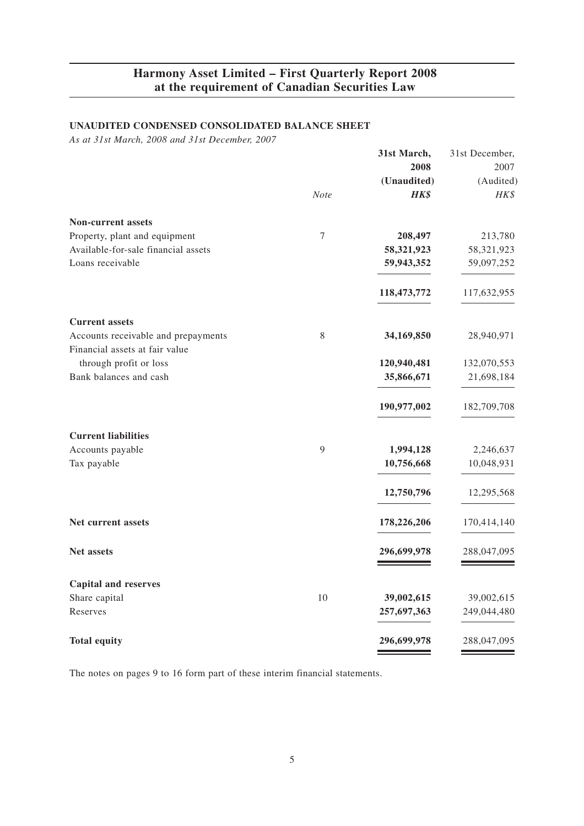### **UNAUDITED CONDENSED CONSOLIDATED BALANCE SHEET**

*As at 31st March, 2008 and 31st December, 2007*

|                                     |                  | 31st March, | 31st December, |
|-------------------------------------|------------------|-------------|----------------|
|                                     |                  | 2008        | 2007           |
|                                     |                  | (Unaudited) | (Audited)      |
|                                     | <b>Note</b>      | HK\$        | HK\$           |
| <b>Non-current assets</b>           |                  |             |                |
| Property, plant and equipment       | $\boldsymbol{7}$ | 208,497     | 213,780        |
| Available-for-sale financial assets |                  | 58,321,923  | 58,321,923     |
| Loans receivable                    |                  | 59,943,352  | 59,097,252     |
|                                     |                  | 118,473,772 | 117,632,955    |
| <b>Current assets</b>               |                  |             |                |
| Accounts receivable and prepayments | 8                | 34,169,850  | 28,940,971     |
| Financial assets at fair value      |                  |             |                |
| through profit or loss              |                  | 120,940,481 | 132,070,553    |
| Bank balances and cash              |                  | 35,866,671  | 21,698,184     |
|                                     |                  | 190,977,002 | 182,709,708    |
| <b>Current liabilities</b>          |                  |             |                |
| Accounts payable                    | 9                | 1,994,128   | 2,246,637      |
| Tax payable                         |                  | 10,756,668  | 10,048,931     |
|                                     |                  | 12,750,796  | 12,295,568     |
| Net current assets                  |                  | 178,226,206 | 170,414,140    |
| <b>Net assets</b>                   |                  | 296,699,978 | 288,047,095    |
| <b>Capital and reserves</b>         |                  |             |                |
| Share capital                       | 10               | 39,002,615  | 39,002,615     |
| Reserves                            |                  | 257,697,363 | 249,044,480    |
| <b>Total equity</b>                 |                  | 296,699,978 | 288,047,095    |

The notes on pages 9 to 16 form part of these interim financial statements.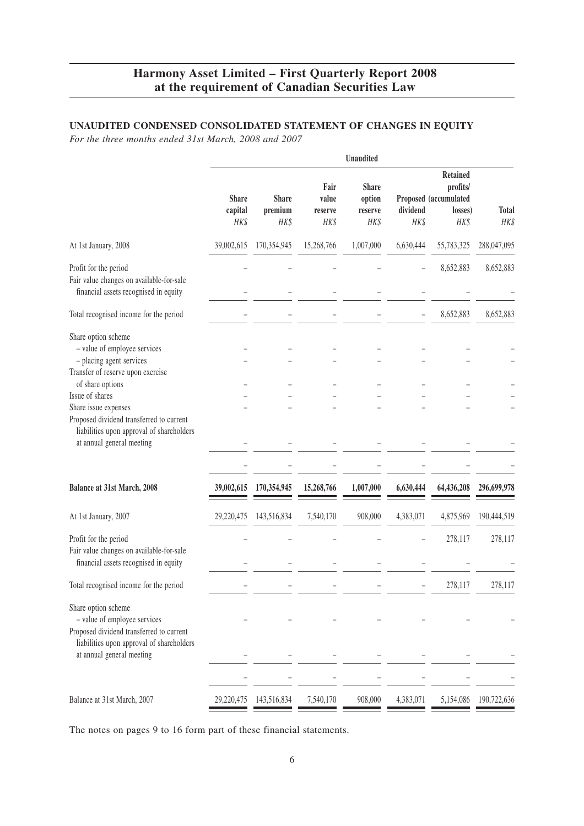### **UNAUDITED CONDENSED CONSOLIDATED STATEMENT OF CHANGES IN EQUITY**

*For the three months ended 31st March, 2008 and 2007*

|                                                                                                                                                                                                                                 |                                 |                                 |                                  | Unaudited                                 |                  |                                                                         |                      |
|---------------------------------------------------------------------------------------------------------------------------------------------------------------------------------------------------------------------------------|---------------------------------|---------------------------------|----------------------------------|-------------------------------------------|------------------|-------------------------------------------------------------------------|----------------------|
|                                                                                                                                                                                                                                 | <b>Share</b><br>capital<br>HK\$ | <b>Share</b><br>premium<br>HK\$ | Fair<br>value<br>reserve<br>HK\$ | <b>Share</b><br>option<br>reserve<br>HK\$ | dividend<br>HK\$ | <b>Retained</b><br>profits/<br>Proposed (accumulated<br>losses)<br>HK\$ | <b>Total</b><br>HK\$ |
| At 1st January, 2008                                                                                                                                                                                                            | 39,002,615                      | 170,354,945                     | 15,268,766                       | 1,007,000                                 | 6,630,444        | 55,783,325                                                              | 288,047,095          |
| Profit for the period<br>Fair value changes on available-for-sale<br>financial assets recognised in equity                                                                                                                      |                                 |                                 |                                  |                                           |                  | 8,652,883                                                               | 8,652,883            |
| Total recognised income for the period                                                                                                                                                                                          |                                 |                                 |                                  |                                           |                  | 8,652,883                                                               | 8,652,883            |
| Share option scheme<br>- value of employee services<br>- placing agent services<br>Transfer of reserve upon exercise<br>of share options<br>Issue of shares<br>Share issue expenses<br>Proposed dividend transferred to current |                                 |                                 |                                  |                                           |                  |                                                                         |                      |
| liabilities upon approval of shareholders<br>at annual general meeting                                                                                                                                                          |                                 |                                 |                                  |                                           |                  |                                                                         |                      |
| Balance at 31st March, 2008                                                                                                                                                                                                     | 39,002,615                      | 170,354,945                     | 15,268,766                       | 1,007,000                                 | 6,630,444        | 64,436,208                                                              | 296,699,978          |
| At 1st January, 2007                                                                                                                                                                                                            | 29,220,475                      | 143,516,834                     | 7,540,170                        | 908,000                                   | 4,383,071        | 4,875,969                                                               | 190,444,519          |
| Profit for the period<br>Fair value changes on available-for-sale<br>financial assets recognised in equity                                                                                                                      |                                 |                                 |                                  |                                           |                  | 278,117                                                                 | 278,117              |
| Total recognised income for the period                                                                                                                                                                                          |                                 |                                 |                                  |                                           |                  | 278,117                                                                 | 278,117              |
| Share option scheme<br>- value of employee services<br>Proposed dividend transferred to current<br>liabilities upon approval of shareholders<br>at annual general meeting                                                       |                                 |                                 |                                  |                                           |                  |                                                                         |                      |
|                                                                                                                                                                                                                                 |                                 |                                 |                                  |                                           |                  |                                                                         |                      |
| Balance at 31st March, 2007                                                                                                                                                                                                     | 29,220,475                      | 143,516,834                     | 7,540,170                        | 908,000                                   | 4,383,071        | 5,154,086                                                               | 190,722,636          |

The notes on pages 9 to 16 form part of these financial statements.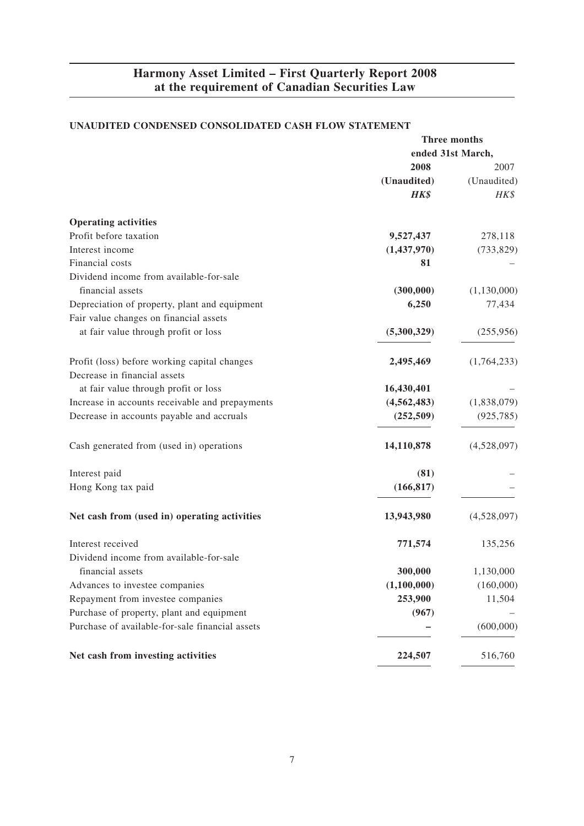### **UNAUDITED CONDENSED CONSOLIDATED CASH FLOW STATEMENT**

|                                                 | Three months      |               |
|-------------------------------------------------|-------------------|---------------|
|                                                 | ended 31st March, |               |
|                                                 | 2008              | 2007          |
|                                                 | (Unaudited)       | (Unaudited)   |
|                                                 | HK\$              | HK\$          |
| <b>Operating activities</b>                     |                   |               |
| Profit before taxation                          | 9,527,437         | 278,118       |
| Interest income                                 | (1,437,970)       | (733, 829)    |
| Financial costs                                 | 81                |               |
| Dividend income from available-for-sale         |                   |               |
| financial assets                                | (300,000)         | (1, 130, 000) |
| Depreciation of property, plant and equipment   | 6,250             | 77,434        |
| Fair value changes on financial assets          |                   |               |
| at fair value through profit or loss            | (5,300,329)       | (255,956)     |
| Profit (loss) before working capital changes    | 2,495,469         | (1,764,233)   |
| Decrease in financial assets                    |                   |               |
| at fair value through profit or loss            | 16,430,401        |               |
| Increase in accounts receivable and prepayments | (4, 562, 483)     | (1,838,079)   |
| Decrease in accounts payable and accruals       | (252, 509)        | (925, 785)    |
| Cash generated from (used in) operations        | 14,110,878        | (4,528,097)   |
| Interest paid                                   | (81)              |               |
| Hong Kong tax paid                              | (166, 817)        |               |
| Net cash from (used in) operating activities    | 13,943,980        | (4,528,097)   |
| Interest received                               | 771,574           | 135,256       |
| Dividend income from available-for-sale         |                   |               |
| financial assets                                | 300,000           | 1,130,000     |
| Advances to investee companies                  | (1,100,000)       | (160,000)     |
| Repayment from investee companies               | 253,900           | 11,504        |
| Purchase of property, plant and equipment       | (967)             |               |
| Purchase of available-for-sale financial assets |                   | (600,000)     |
| Net cash from investing activities              | 224,507           | 516,760       |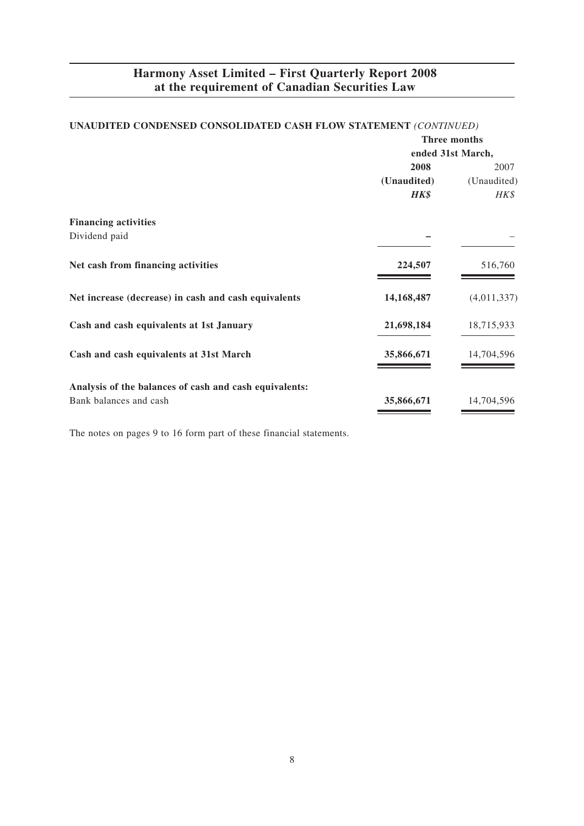|                                                        | Three months      |             |  |
|--------------------------------------------------------|-------------------|-------------|--|
|                                                        | ended 31st March, |             |  |
|                                                        | 2008              | 2007        |  |
|                                                        | (Unaudited)       | (Unaudited) |  |
|                                                        | HK\$              | HK\$        |  |
| <b>Financing activities</b>                            |                   |             |  |
| Dividend paid                                          |                   |             |  |
| Net cash from financing activities                     | 224,507           | 516,760     |  |
| Net increase (decrease) in cash and cash equivalents   | 14,168,487        | (4,011,337) |  |
| Cash and cash equivalents at 1st January               | 21,698,184        | 18,715,933  |  |
| Cash and cash equivalents at 31st March                | 35,866,671        | 14,704,596  |  |
| Analysis of the balances of cash and cash equivalents: |                   |             |  |
| Bank balances and cash                                 | 35,866,671        | 14,704,596  |  |

### **UNAUDITED CONDENSED CONSOLIDATED CASH FLOW STATEMENT** *(CONTINUED)*

The notes on pages 9 to 16 form part of these financial statements.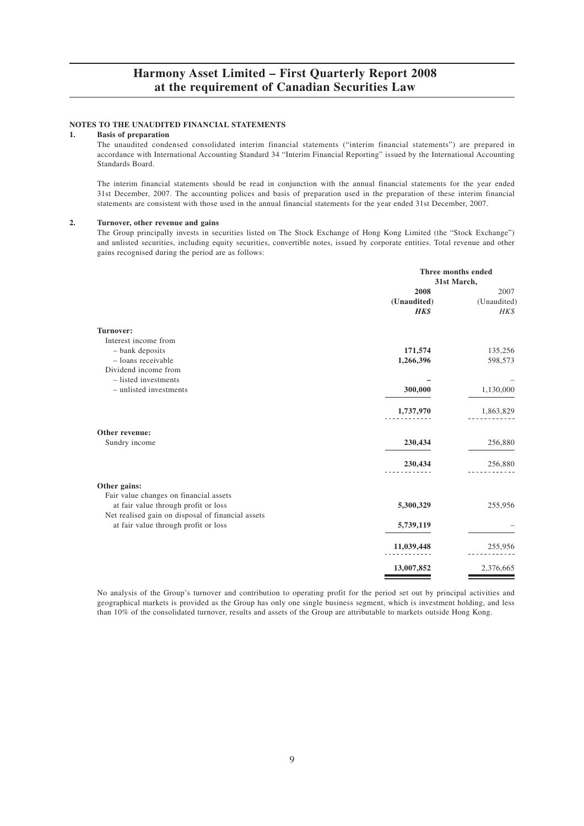#### **NOTES TO THE UNAUDITED FINANCIAL STATEMENTS**

#### **1. Basis of preparation**

The unaudited condensed consolidated interim financial statements ("interim financial statements") are prepared in accordance with International Accounting Standard 34 "Interim Financial Reporting" issued by the International Accounting Standards Board.

The interim financial statements should be read in conjunction with the annual financial statements for the year ended 31st December, 2007. The accounting polices and basis of preparation used in the preparation of these interim financial statements are consistent with those used in the annual financial statements for the year ended 31st December, 2007.

#### **2. Turnover, other revenue and gains**

The Group principally invests in securities listed on The Stock Exchange of Hong Kong Limited (the "Stock Exchange") and unlisted securities, including equity securities, convertible notes, issued by corporate entities. Total revenue and other gains recognised during the period are as follows:

|                                                   | Three months ended |             |
|---------------------------------------------------|--------------------|-------------|
|                                                   |                    | 31st March, |
|                                                   | 2008               | 2007        |
|                                                   | (Unaudited)        | (Unaudited) |
|                                                   | HK\$               | HK\$        |
| Turnover:                                         |                    |             |
| Interest income from                              |                    |             |
| - bank deposits                                   | 171,574            | 135,256     |
| - loans receivable                                | 1,266,396          | 598,573     |
| Dividend income from                              |                    |             |
| - listed investments                              |                    |             |
| - unlisted investments                            | 300,000            | 1,130,000   |
|                                                   | 1,737,970          | 1,863,829   |
| Other revenue:                                    |                    |             |
| Sundry income                                     | 230,434            | 256,880     |
|                                                   | 230,434            | 256,880     |
| Other gains:                                      |                    |             |
| Fair value changes on financial assets            |                    |             |
| at fair value through profit or loss              | 5,300,329          | 255,956     |
| Net realised gain on disposal of financial assets |                    |             |
| at fair value through profit or loss              | 5,739,119          |             |
|                                                   | 11,039,448         | 255,956     |
|                                                   | 13,007,852         | 2,376,665   |

No analysis of the Group's turnover and contribution to operating profit for the period set out by principal activities and geographical markets is provided as the Group has only one single business segment, which is investment holding, and less than 10% of the consolidated turnover, results and assets of the Group are attributable to markets outside Hong Kong.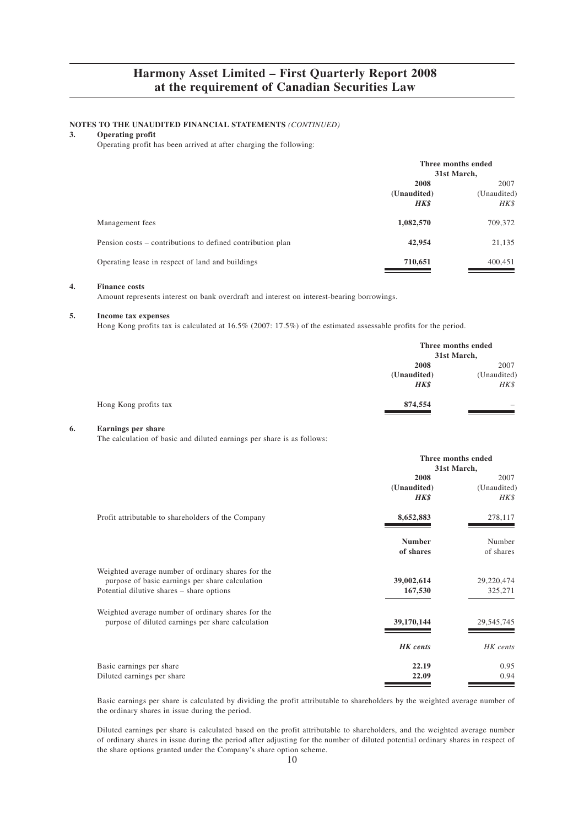# **NOTES TO THE UNAUDITED FINANCIAL STATEMENTS** *(CONTINUED)* **3. Operating profit**

#### **3. Operating profit**

Operating profit has been arrived at after charging the following:

|                                                            | Three months ended<br>31st March, |                             |
|------------------------------------------------------------|-----------------------------------|-----------------------------|
|                                                            | 2008<br>(Unaudited)<br>HK\$       | 2007<br>(Unaudited)<br>HK\$ |
| Management fees                                            | 1,082,570                         | 709,372                     |
| Pension costs – contributions to defined contribution plan | 42,954                            | 21,135                      |
| Operating lease in respect of land and buildings           | 710,651                           | 400,451                     |

#### **4. Finance costs**

Amount represents interest on bank overdraft and interest on interest-bearing borrowings.

#### **5. Income tax expenses**

Hong Kong profits tax is calculated at 16.5% (2007: 17.5%) of the estimated assessable profits for the period.

|                       |             | Three months ended<br>31st March, |
|-----------------------|-------------|-----------------------------------|
|                       | 2008        | 2007                              |
|                       | (Unaudited) | (Unaudited)                       |
|                       | HK\$        | HK\$                              |
| Hong Kong profits tax | 874,554     | $\hspace{0.05cm}$                 |

#### **6. Earnings per share**

The calculation of basic and diluted earnings per share is as follows:

|                                                                                                                                                    | Three months ended<br>31st March,  |                             |
|----------------------------------------------------------------------------------------------------------------------------------------------------|------------------------------------|-----------------------------|
|                                                                                                                                                    | 2008<br>(Unaudited)<br><b>HK\$</b> | 2007<br>(Unaudited)<br>HK\$ |
| Profit attributable to shareholders of the Company                                                                                                 | 8,652,883                          | 278,117                     |
|                                                                                                                                                    | <b>Number</b><br>of shares         | Number<br>of shares         |
| Weighted average number of ordinary shares for the<br>purpose of basic earnings per share calculation<br>Potential dilutive shares – share options | 39,002,614<br>167,530              | 29,220,474<br>325,271       |
| Weighted average number of ordinary shares for the<br>purpose of diluted earnings per share calculation                                            | 39,170,144                         | 29, 545, 745                |
|                                                                                                                                                    | <b>HK</b> cents                    | HK cents                    |
| Basic earnings per share<br>Diluted earnings per share                                                                                             | 22.19<br>22.09                     | 0.95<br>0.94                |

Basic earnings per share is calculated by dividing the profit attributable to shareholders by the weighted average number of the ordinary shares in issue during the period.

Diluted earnings per share is calculated based on the profit attributable to shareholders, and the weighted average number of ordinary shares in issue during the period after adjusting for the number of diluted potential ordinary shares in respect of the share options granted under the Company's share option scheme.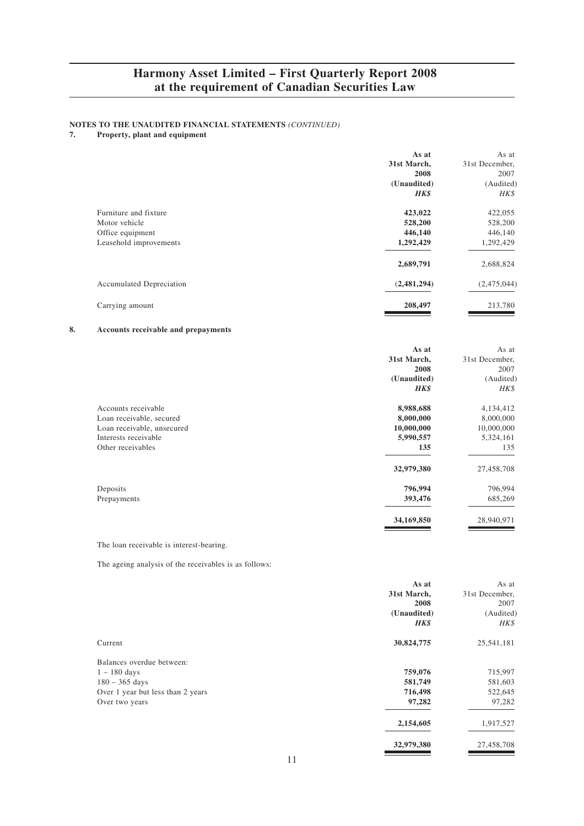# **NOTES TO THE UNAUDITED FINANCIAL STATEMENTS** *(CONTINUED)***<br>7. Property, plant and equipment**

#### **7. Property, plant and equipment**

|                                 | As at       | As at          |
|---------------------------------|-------------|----------------|
|                                 | 31st March, | 31st December, |
|                                 | 2008        | 2007           |
|                                 | (Unaudited) | (Audited)      |
|                                 | HK\$        | HK\$           |
| Furniture and fixture           | 423,022     | 422,055        |
| Motor vehicle                   | 528,200     | 528,200        |
| Office equipment                | 446,140     | 446,140        |
| Leasehold improvements          | 1,292,429   | 1,292,429      |
|                                 | 2,689,791   | 2,688,824      |
| <b>Accumulated Depreciation</b> | (2,481,294) | (2,475,044)    |
| Carrying amount                 | 208,497     | 213,780        |

#### **8. Accounts receivable and prepayments**

|                            | As at       | As at          |
|----------------------------|-------------|----------------|
|                            | 31st March, | 31st December, |
|                            | 2008        | 2007           |
|                            | (Unaudited) | (Audited)      |
|                            | HK\$        | HK\$           |
| Accounts receivable        | 8,988,688   | 4,134,412      |
| Loan receivable, secured   | 8,000,000   | 8,000,000      |
| Loan receivable, unsecured | 10,000,000  | 10,000,000     |
| Interests receivable       | 5,990,557   | 5,324,161      |
| Other receivables          | 135         | 135            |
|                            | 32,979,380  | 27,458,708     |
| Deposits                   | 796,994     | 796,994        |
| Prepayments                | 393,476     | 685,269        |
|                            | 34,169,850  | 28,940,971     |

The loan receivable is interest-bearing.

The ageing analysis of the receivables is as follows:

|                                   | As at       | As at          |
|-----------------------------------|-------------|----------------|
|                                   | 31st March, | 31st December, |
|                                   | 2008        | 2007           |
|                                   | (Unaudited) | (Audited)      |
|                                   | HK\$        | HK\$           |
| Current                           | 30,824,775  | 25,541,181     |
| Balances overdue between:         |             |                |
| $1 - 180$ days                    | 759,076     | 715,997        |
| $180 - 365$ days                  | 581,749     | 581,603        |
| Over 1 year but less than 2 years | 716,498     | 522,645        |
| Over two years                    | 97,282      | 97,282         |
|                                   | 2,154,605   | 1,917,527      |
|                                   | 32,979,380  | 27,458,708     |

11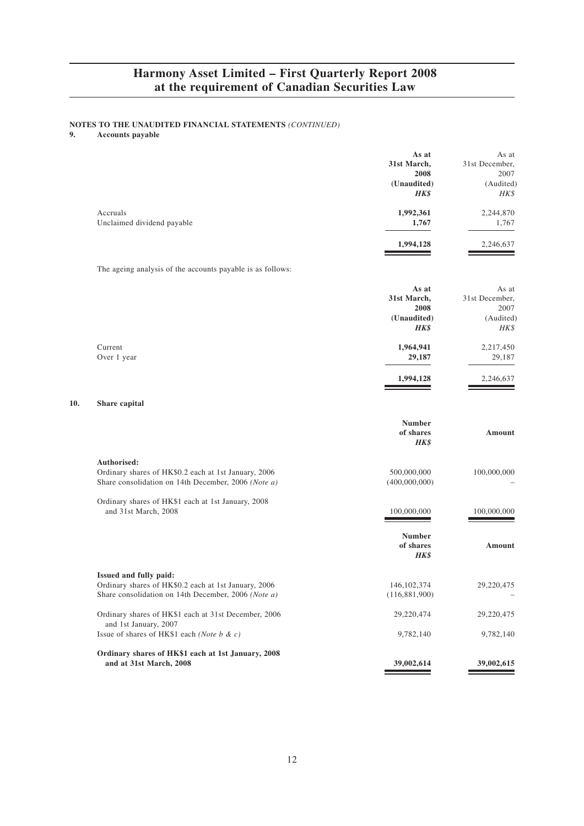# **NOTES TO THE UNAUDITED FINANCIAL STATEMENTS** *(CONTINUED)***<br>9. Accounts payable**

**9. Accounts payable**

**10.** 

|                                                                                                                                       | As at<br>31st March,<br>2008<br>(Unaudited)<br>HK\$ | As at<br>31st December,<br>2007<br>(Audited)<br>HK\$ |
|---------------------------------------------------------------------------------------------------------------------------------------|-----------------------------------------------------|------------------------------------------------------|
| Accruals<br>Unclaimed dividend payable                                                                                                | 1,992,361<br>1,767                                  | 2,244,870<br>1,767                                   |
|                                                                                                                                       | 1,994,128                                           | 2,246,637                                            |
| The ageing analysis of the accounts payable is as follows:                                                                            |                                                     |                                                      |
|                                                                                                                                       | As at<br>31st March,<br>2008<br>(Unaudited)<br>HK\$ | As at<br>31st December,<br>2007<br>(Audited)<br>HK\$ |
| Current<br>Over 1 year                                                                                                                | 1,964,941<br>29,187                                 | 2,217,450<br>29,187                                  |
|                                                                                                                                       | 1,994,128                                           | 2,246,637                                            |
| Share capital                                                                                                                         |                                                     |                                                      |
|                                                                                                                                       | <b>Number</b><br>of shares<br>HK\$                  | Amount                                               |
| Authorised:<br>Ordinary shares of HK\$0.2 each at 1st January, 2006<br>Share consolidation on 14th December, 2006 (Note a)            | 500,000,000<br>(400,000,000)                        | 100,000,000                                          |
| Ordinary shares of HK\$1 each at 1st January, 2008<br>and 31st March, 2008                                                            | 100,000,000                                         | 100,000,000                                          |
|                                                                                                                                       | <b>Number</b><br>of shares<br>HK\$                  | Amount                                               |
| Issued and fully paid:<br>Ordinary shares of HK\$0.2 each at 1st January, 2006<br>Share consolidation on 14th December, 2006 (Note a) | 146, 102, 374<br>(116, 881, 900)                    | 29,220,475                                           |
| Ordinary shares of HK\$1 each at 31st December, 2006<br>and 1st January, 2007                                                         | 29,220,474                                          | 29,220,475                                           |
| Issue of shares of HK\$1 each (Note b & c)                                                                                            | 9,782,140                                           | 9,782,140                                            |
| Ordinary shares of HK\$1 each at 1st January, 2008<br>and at 31st March, 2008                                                         | 39,002,614                                          | 39,002,615                                           |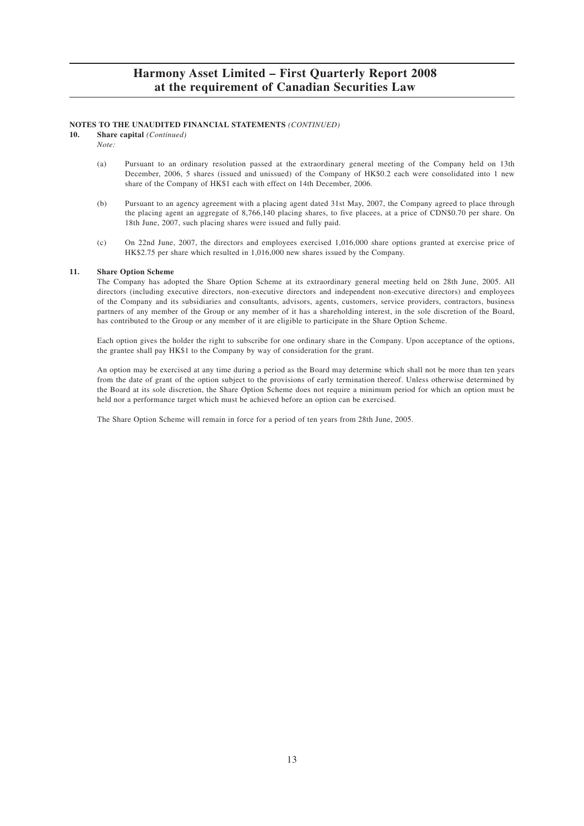#### **NOTES TO THE UNAUDITED FINANCIAL STATEMENTS** *(CONTINUED)*

**10. Share capital** *(Continued)*

*Note:*

- (a) Pursuant to an ordinary resolution passed at the extraordinary general meeting of the Company held on 13th December, 2006, 5 shares (issued and unissued) of the Company of HK\$0.2 each were consolidated into 1 new share of the Company of HK\$1 each with effect on 14th December, 2006.
- (b) Pursuant to an agency agreement with a placing agent dated 31st May, 2007, the Company agreed to place through the placing agent an aggregate of 8,766,140 placing shares, to five placees, at a price of CDN\$0.70 per share. On 18th June, 2007, such placing shares were issued and fully paid.
- (c) On 22nd June, 2007, the directors and employees exercised 1,016,000 share options granted at exercise price of HK\$2.75 per share which resulted in 1,016,000 new shares issued by the Company.

#### **11. Share Option Scheme**

The Company has adopted the Share Option Scheme at its extraordinary general meeting held on 28th June, 2005. All directors (including executive directors, non-executive directors and independent non-executive directors) and employees of the Company and its subsidiaries and consultants, advisors, agents, customers, service providers, contractors, business partners of any member of the Group or any member of it has a shareholding interest, in the sole discretion of the Board, has contributed to the Group or any member of it are eligible to participate in the Share Option Scheme.

Each option gives the holder the right to subscribe for one ordinary share in the Company. Upon acceptance of the options, the grantee shall pay HK\$1 to the Company by way of consideration for the grant.

An option may be exercised at any time during a period as the Board may determine which shall not be more than ten years from the date of grant of the option subject to the provisions of early termination thereof. Unless otherwise determined by the Board at its sole discretion, the Share Option Scheme does not require a minimum period for which an option must be held nor a performance target which must be achieved before an option can be exercised.

The Share Option Scheme will remain in force for a period of ten years from 28th June, 2005.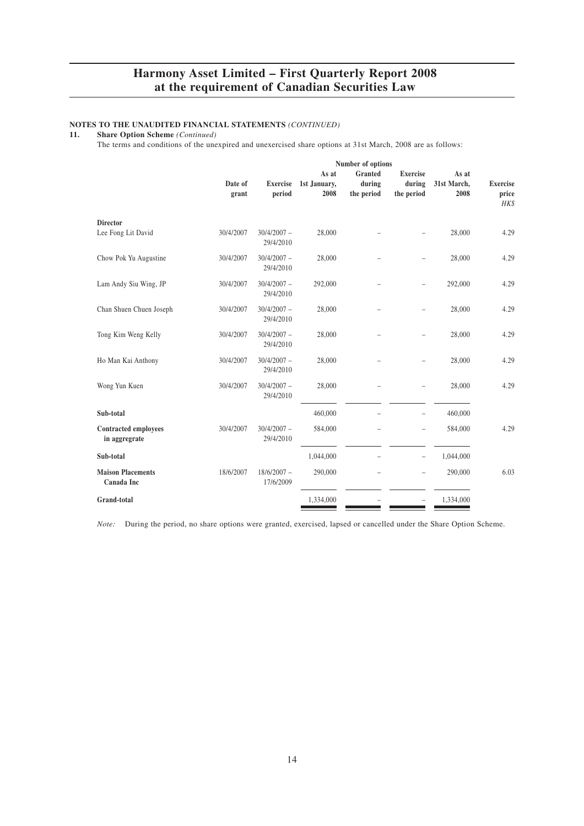# **NOTES TO THE UNAUDITED FINANCIAL STATEMENTS** *(CONTINUED)* **11. Share Option Scheme** *(Continued)*

**11. Share Option Scheme** *(Continued)*

The terms and conditions of the unexpired and unexercised share options at 31st March, 2008 are as follows:

|                  | Number of options          |                               |                                 |                                         |                              |                                  |
|------------------|----------------------------|-------------------------------|---------------------------------|-----------------------------------------|------------------------------|----------------------------------|
| Date of<br>grant | <b>Exercise</b><br>period  | As at<br>1st January,<br>2008 | Granted<br>during<br>the period | <b>Exercise</b><br>during<br>the period | As at<br>31st March,<br>2008 | <b>Exercise</b><br>price<br>HK\$ |
| 30/4/2007        | $30/4/2007 -$              | 28,000                        |                                 |                                         | 28,000                       | 4.29                             |
| 30/4/2007        | $30/4/2007 -$              | 28,000                        |                                 |                                         | 28,000                       | 4.29                             |
| 30/4/2007        | $30/4/2007 -$<br>29/4/2010 | 292,000                       |                                 | $\overline{\phantom{0}}$                | 292,000                      | 4.29                             |
| 30/4/2007        | $30/4/2007 -$<br>29/4/2010 | 28,000                        |                                 |                                         | 28,000                       | 4.29                             |
| 30/4/2007        | $30/4/2007 -$<br>29/4/2010 | 28,000                        |                                 |                                         | 28,000                       | 4.29                             |
| 30/4/2007        | $30/4/2007 -$<br>29/4/2010 | 28,000                        |                                 |                                         | 28,000                       | 4.29                             |
| 30/4/2007        | $30/4/2007 -$<br>29/4/2010 | 28,000                        |                                 |                                         | 28,000                       | 4.29                             |
|                  |                            | 460,000                       |                                 | $\overline{a}$                          | 460,000                      |                                  |
| 30/4/2007        | $30/4/2007 -$<br>29/4/2010 | 584,000                       |                                 | $\overline{a}$                          | 584,000                      | 4.29                             |
|                  |                            | 1,044,000                     |                                 | $\overline{\phantom{0}}$                | 1,044,000                    |                                  |
| 18/6/2007        | $18/6/2007 -$<br>17/6/2009 | 290,000                       |                                 | $\overline{\phantom{0}}$                | 290,000                      | 6.03                             |
|                  |                            | 1,334,000                     |                                 |                                         | 1,334,000                    |                                  |
|                  |                            | 29/4/2010<br>29/4/2010        |                                 |                                         |                              |                                  |

*Note:* During the period, no share options were granted, exercised, lapsed or cancelled under the Share Option Scheme.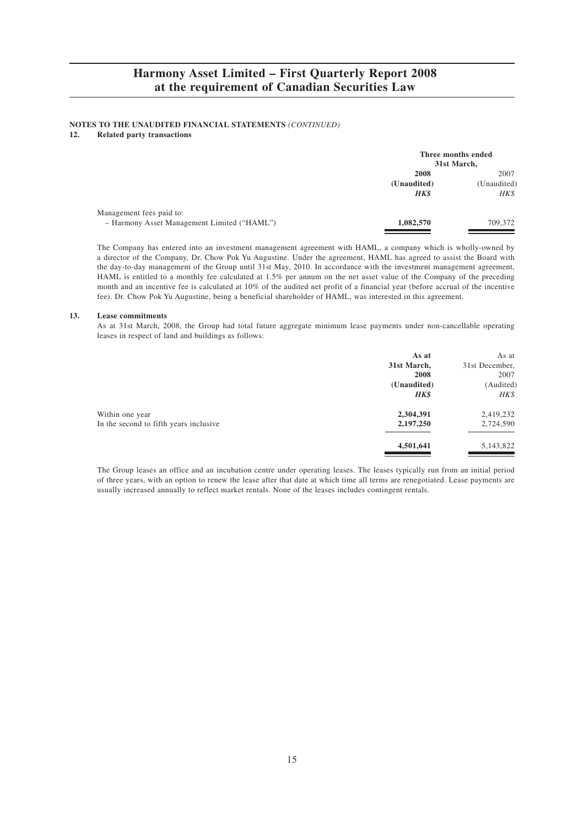# **NOTES TO THE UNAUDITED FINANCIAL STATEMENTS** *(CONTINUED)***<br>12. Related party transactions**

#### **12. Related party transactions**

|                                                                         | Three months ended<br>31st March,  |                             |
|-------------------------------------------------------------------------|------------------------------------|-----------------------------|
|                                                                         | 2008<br>(Unaudited)<br><b>HK\$</b> | 2007<br>(Unaudited)<br>HK\$ |
| Management fees paid to:<br>- Harmony Asset Management Limited ("HAML") | 1,082,570                          | 709,372                     |

The Company has entered into an investment management agreement with HAML, a company which is wholly-owned by a director of the Company, Dr. Chow Pok Yu Augustine. Under the agreement, HAML has agreed to assist the Board with the day-to-day management of the Group until 31st May, 2010. In accordance with the investment management agreement, HAML is entitled to a monthly fee calculated at 1.5% per annum on the net asset value of the Company of the preceding month and an incentive fee is calculated at 10% of the audited net profit of a financial year (before accrual of the incentive fee). Dr. Chow Pok Yu Augustine, being a beneficial shareholder of HAML, was interested in this agreement.

#### **13. Lease commitments**

As at 31st March, 2008, the Group had total future aggregate minimum lease payments under non-cancellable operating leases in respect of land and buildings as follows:

|                                        | As at       | As at          |
|----------------------------------------|-------------|----------------|
|                                        | 31st March, | 31st December, |
|                                        | 2008        | 2007           |
|                                        | (Unaudited) | (Audited)      |
|                                        | <b>HK\$</b> | HK\$           |
| Within one year                        | 2,304,391   | 2,419,232      |
| In the second to fifth years inclusive | 2,197,250   | 2,724,590      |
|                                        | 4,501,641   | 5,143,822      |
|                                        |             |                |

The Group leases an office and an incubation centre under operating leases. The leases typically run from an initial period of three years, with an option to renew the lease after that date at which time all terms are renegotiated. Lease payments are usually increased annually to reflect market rentals. None of the leases includes contingent rentals.